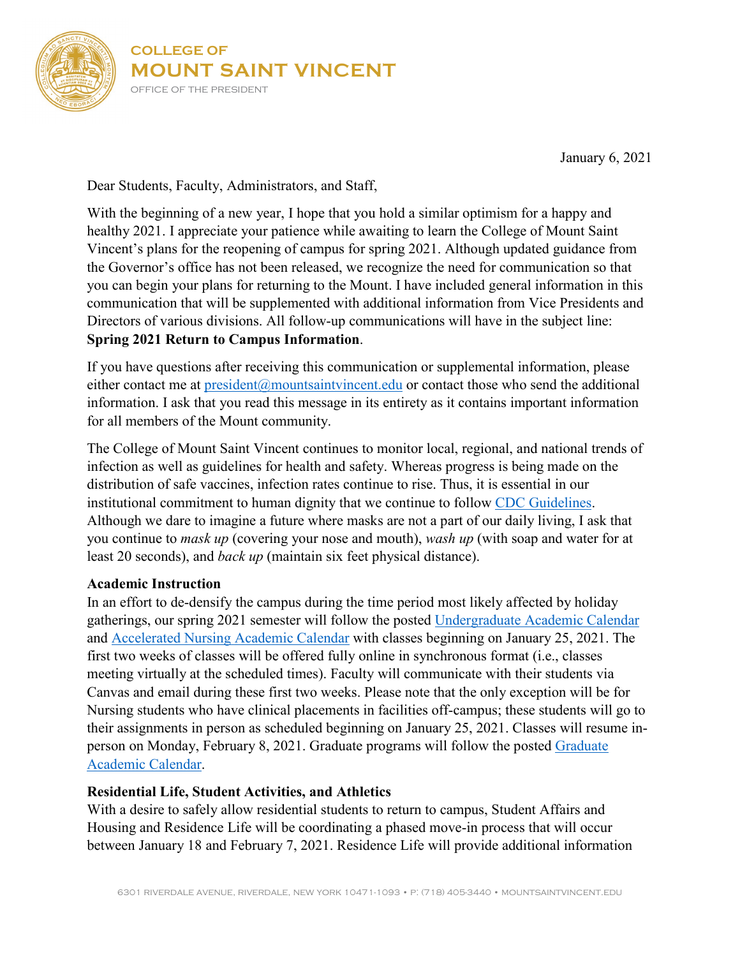

January 6, 2021

Dear Students, Faculty, Administrators, and Staff,

With the beginning of a new year, I hope that you hold a similar optimism for a happy and healthy 2021. I appreciate your patience while awaiting to learn the College of Mount Saint Vincent's plans for the reopening of campus for spring 2021. Although updated guidance from the Governor's office has not been released, we recognize the need for communication so that you can begin your plans for returning to the Mount. I have included general information in this communication that will be supplemented with additional information from Vice Presidents and Directors of various divisions. All follow-up communications will have in the subject line: **Spring 2021 Return to Campus Information**.

If you have questions after receiving this communication or supplemental information, please either contact me at  $pre<sub>ideal</sub>(a)$  mountsaintvincent.edu or contact those who send the additional information. I ask that you read this message in its entirety as it contains important information for all members of the Mount community.

The College of Mount Saint Vincent continues to monitor local, regional, and national trends of infection as well as guidelines for health and safety. Whereas progress is being made on the distribution of safe vaccines, infection rates continue to rise. Thus, it is essential in our institutional commitment to human dignity that we continue to follow CDC [Guidelines.](https://www.cdc.gov/coronavirus/2019-ncov/community/colleges-universities/index.html) Although we dare to imagine a future where masks are not a part of our daily living, I ask that you continue to *mask up* (covering your nose and mouth), *wash up* (with soap and water for at least 20 seconds), and *back up* (maintain six feet physical distance).

### **Academic Instruction**

In an effort to de-densify the campus during the time period most likely affected by holiday gatherings, our spring 2021 semester will follow the posted [Undergraduate Academic Calendar](https://mountsaintvincent.edu/academics/resources/registrar/undergraduate-college-academic-calendar/academic-year/) and [Accelerated Nursing Academic Calendar](https://mountsaintvincent.edu/academics/resources/registrar/graduate-academic-calendar/accelerated-nursing/) with classes beginning on January 25, 2021. The first two weeks of classes will be offered fully online in synchronous format (i.e., classes meeting virtually at the scheduled times). Faculty will communicate with their students via Canvas and email during these first two weeks. Please note that the only exception will be for Nursing students who have clinical placements in facilities off-campus; these students will go to their assignments in person as scheduled beginning on January 25, 2021. Classes will resume inperson on Monday, February 8, 2021. Graduate programs will follow the posted [Graduate](https://mountsaintvincent.edu/academics/resources/registrar/graduate-academic-calendar/academic-year/)  [Academic Calendar.](https://mountsaintvincent.edu/academics/resources/registrar/graduate-academic-calendar/academic-year/)

# **Residential Life, Student Activities, and Athletics**

With a desire to safely allow residential students to return to campus, Student Affairs and Housing and Residence Life will be coordinating a phased move-in process that will occur between January 18 and February 7, 2021. Residence Life will provide additional information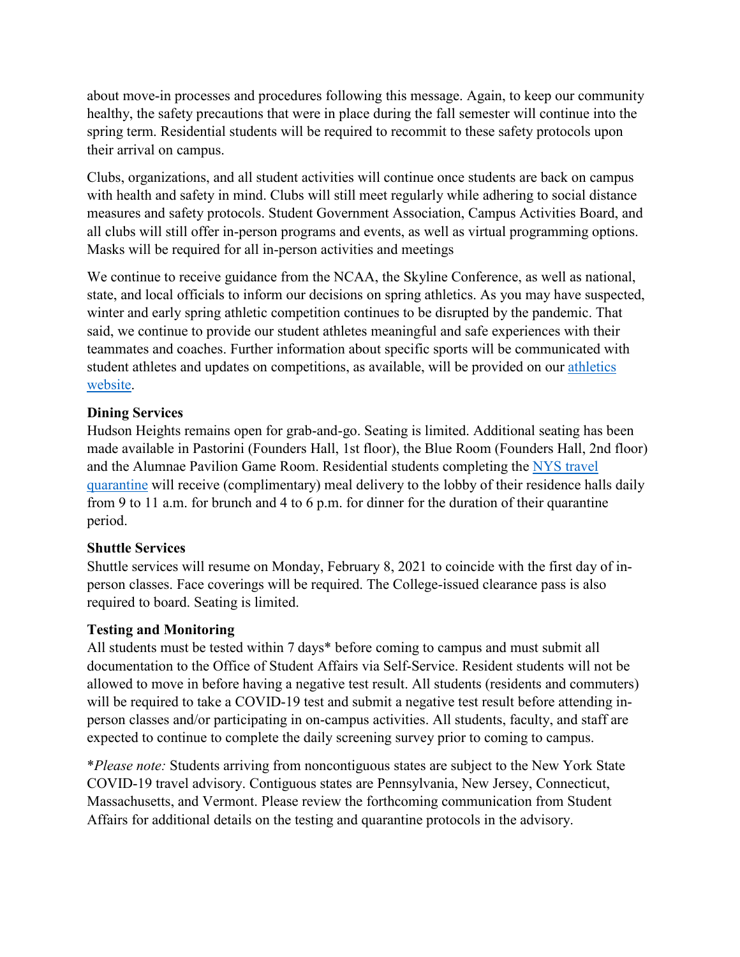about move-in processes and procedures following this message. Again, to keep our community healthy, the safety precautions that were in place during the fall semester will continue into the spring term. Residential students will be required to recommit to these safety protocols upon their arrival on campus.

Clubs, organizations, and all student activities will continue once students are back on campus with health and safety in mind. Clubs will still meet regularly while adhering to social distance measures and safety protocols. Student Government Association, Campus Activities Board, and all clubs will still offer in-person programs and events, as well as virtual programming options. Masks will be required for all in-person activities and meetings

We continue to receive guidance from the NCAA, the Skyline Conference, as well as national, state, and local officials to inform our decisions on spring athletics. As you may have suspected, winter and early spring athletic competition continues to be disrupted by the pandemic. That said, we continue to provide our student athletes meaningful and safe experiences with their teammates and coaches. Further information about specific sports will be communicated with student athletes and updates on competitions, as available, will be provided on our [athletics](https://cmsvathletics.com/)  [website.](https://cmsvathletics.com/)

# **Dining Services**

Hudson Heights remains open for grab-and-go. Seating is limited. Additional seating has been made available in Pastorini (Founders Hall, 1st floor), the Blue Room (Founders Hall, 2nd floor) and the Alumnae Pavilion Game Room. Residential students completing the [NYS travel](https://coronavirus.health.ny.gov/covid-19-travel-advisory)  [quarantine](https://coronavirus.health.ny.gov/covid-19-travel-advisory) will receive (complimentary) meal delivery to the lobby of their residence halls daily from 9 to 11 a.m. for brunch and 4 to 6 p.m. for dinner for the duration of their quarantine period.

# **Shuttle Services**

Shuttle services will resume on Monday, February 8, 2021 to coincide with the first day of inperson classes. Face coverings will be required. The College-issued clearance pass is also required to board. Seating is limited.

### **Testing and Monitoring**

All students must be tested within 7 days\* before coming to campus and must submit all documentation to the Office of Student Affairs via Self-Service. Resident students will not be allowed to move in before having a negative test result. All students (residents and commuters) will be required to take a COVID-19 test and submit a negative test result before attending inperson classes and/or participating in on-campus activities. All students, faculty, and staff are expected to continue to complete the daily screening survey prior to coming to campus.

\**Please note:* Students arriving from noncontiguous states are subject to the [New York State](https://coronavirus.health.ny.gov/covid-19-travel-advisory)  [COVID-19 travel advisory.](https://coronavirus.health.ny.gov/covid-19-travel-advisory) Contiguous states are Pennsylvania, New Jersey, Connecticut, Massachusetts, and Vermont. Please review the forthcoming communication from Student Affairs for additional details on the testing and quarantine protocols in the advisory.